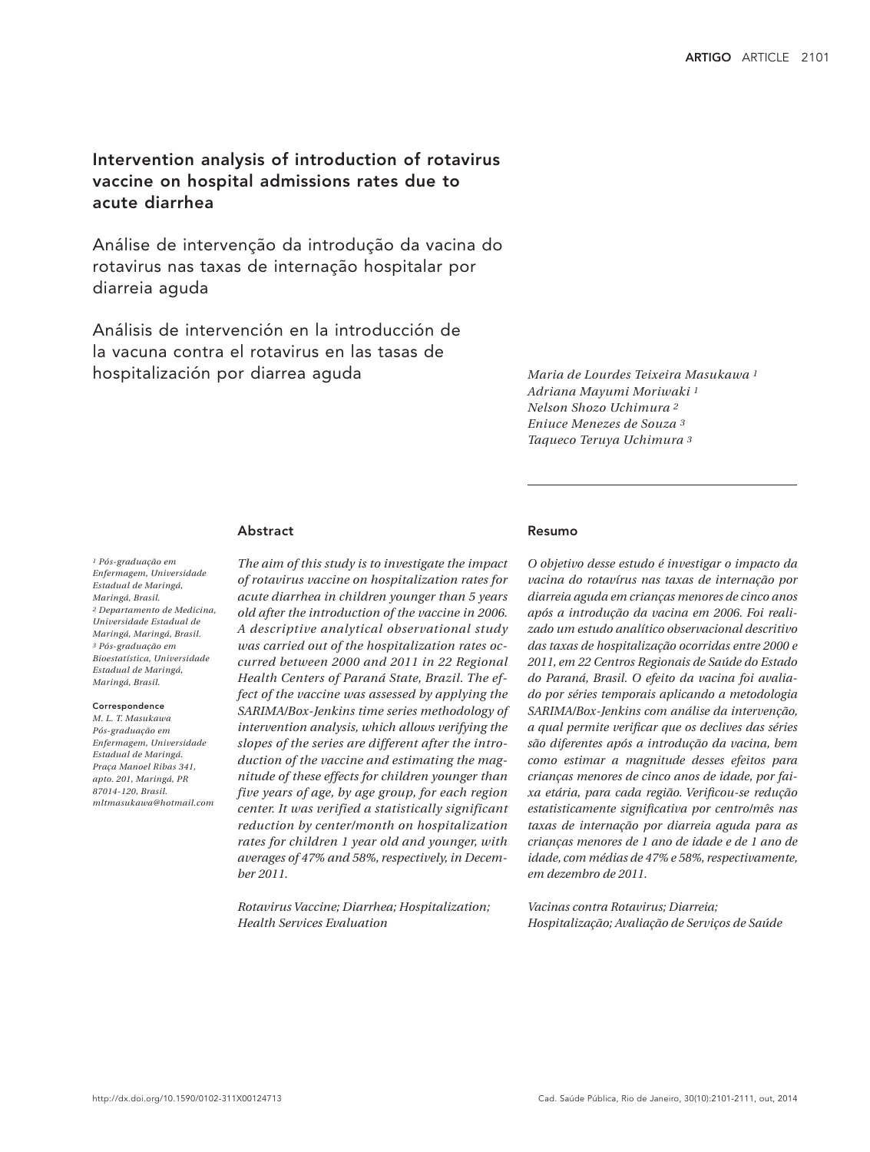# Intervention analysis of introduction of rotavirus vaccine on hospital admissions rates due to acute diarrhea

Análise de intervenção da introdução da vacina do rotavirus nas taxas de internação hospitalar por diarreia aguda

Análisis de intervención en la introducción de la vacuna contra el rotavirus en las tasas de hospitalización por diarrea aguda

*Maria de Lourdes Teixeira Masukawa 1 Adriana Mayumi Moriwaki 1 Nelson Shozo Uchimura 2 Eniuce Menezes de Souza 3 Taqueco Teruya Uchimura 3*

## Abstract

*1 Pós-graduação em Enfermagem, Universidade Estadual de Maringá, Maringá, Brasil. 2 Departamento de Medicina, Universidade Estadual de Maringá, Maringá, Brasil. 3 Pós-graduação em Bioestatística, Universidade Estadual de Maringá, Maringá, Brasil.*

#### Correspondence

*M. L. T. Masukawa Pós-graduação em Enfermagem, Universidade Estadual de Maringá. Praça Manoel Ribas 341, apto. 201, Maringá, PR 87014-120, Brasil. mltmasukawa@hotmail.com*

*The aim of this study is to investigate the impact of rotavirus vaccine on hospitalization rates for acute diarrhea in children younger than 5 years old after the introduction of the vaccine in 2006. A descriptive analytical observational study was carried out of the hospitalization rates occurred between 2000 and 2011 in 22 Regional Health Centers of Paraná State, Brazil. The effect of the vaccine was assessed by applying the SARIMA/Box-Jenkins time series methodology of intervention analysis, which allows verifying the slopes of the series are different after the introduction of the vaccine and estimating the magnitude of these effects for children younger than five years of age, by age group, for each region center. It was verified a statistically significant reduction by center/month on hospitalization rates for children 1 year old and younger, with averages of 47% and 58%, respectively, in December 2011.*

*Rotavirus Vaccine; Diarrhea; Hospitalization; Health Services Evaluation*

### Resumo

*O objetivo desse estudo é investigar o impacto da vacina do rotavírus nas taxas de internação por diarreia aguda em crianças menores de cinco anos após a introdução da vacina em 2006. Foi realizado um estudo analítico observacional descritivo das taxas de hospitalização ocorridas entre 2000 e 2011, em 22 Centros Regionais de Saúde do Estado do Paraná, Brasil. O efeito da vacina foi avaliado por séries temporais aplicando a metodologia SARIMA/Box-Jenkins com análise da intervenção, a qual permite verificar que os declives das séries são diferentes após a introdução da vacina, bem como estimar a magnitude desses efeitos para crianças menores de cinco anos de idade, por faixa etária, para cada região. Verificou-se redução estatisticamente significativa por centro/mês nas taxas de internação por diarreia aguda para as crianças menores de 1 ano de idade e de 1 ano de idade, com médias de 47% e 58%, respectivamente, em dezembro de 2011.*

*Vacinas contra Rotavirus; Diarreia; Hospitalização; Avaliação de Serviços de Saúde*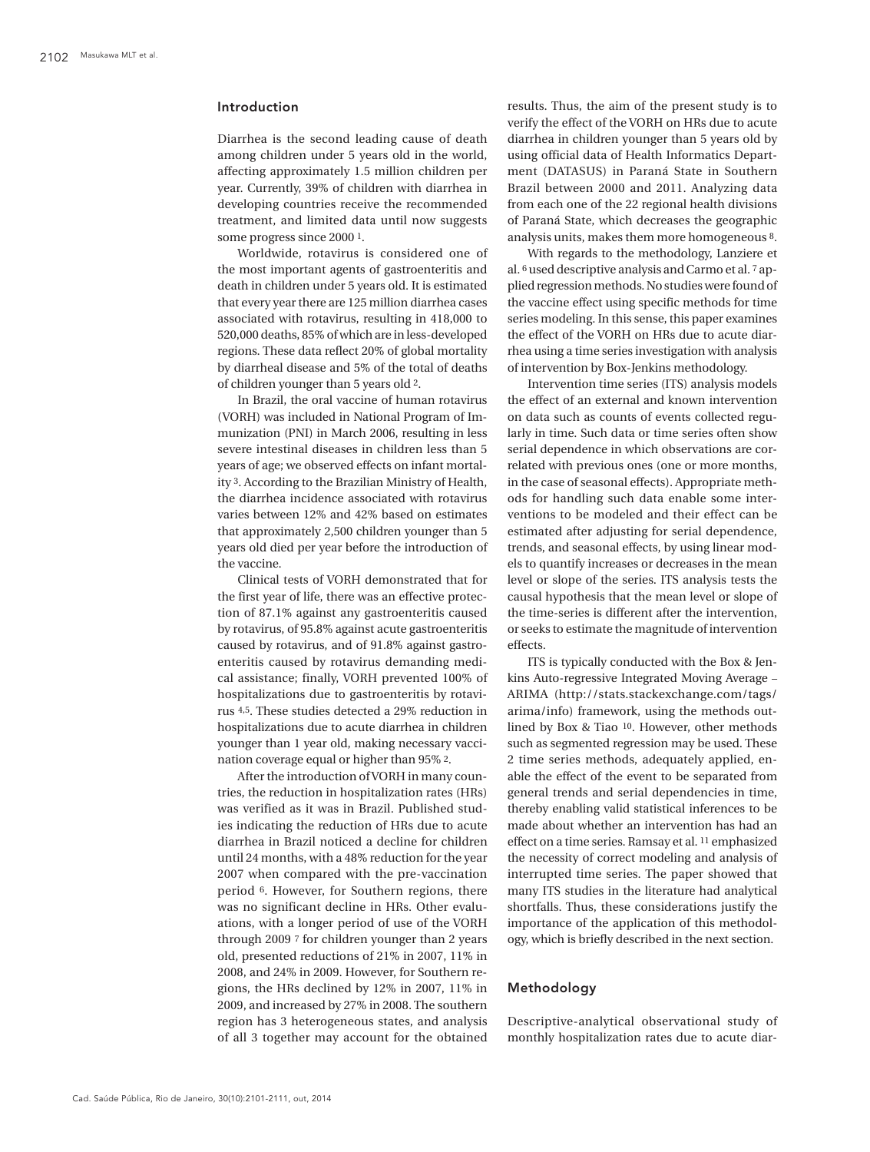## Introduction

Diarrhea is the second leading cause of death among children under 5 years old in the world, affecting approximately 1.5 million children per year. Currently, 39% of children with diarrhea in developing countries receive the recommended treatment, and limited data until now suggests some progress since 2000 1.

Worldwide, rotavirus is considered one of the most important agents of gastroenteritis and death in children under 5 years old. It is estimated that every year there are 125 million diarrhea cases associated with rotavirus, resulting in 418,000 to 520,000 deaths, 85% of which are in less-developed regions. These data reflect 20% of global mortality by diarrheal disease and 5% of the total of deaths of children younger than 5 years old 2.

In Brazil, the oral vaccine of human rotavirus (VORH) was included in National Program of Immunization (PNI) in March 2006, resulting in less severe intestinal diseases in children less than 5 years of age; we observed effects on infant mortality 3. According to the Brazilian Ministry of Health, the diarrhea incidence associated with rotavirus varies between 12% and 42% based on estimates that approximately 2,500 children younger than 5 years old died per year before the introduction of the vaccine.

Clinical tests of VORH demonstrated that for the first year of life, there was an effective protection of 87.1% against any gastroenteritis caused by rotavirus, of 95.8% against acute gastroenteritis caused by rotavirus, and of 91.8% against gastroenteritis caused by rotavirus demanding medical assistance; finally, VORH prevented 100% of hospitalizations due to gastroenteritis by rotavirus 4,5. These studies detected a 29% reduction in hospitalizations due to acute diarrhea in children younger than 1 year old, making necessary vaccination coverage equal or higher than 95% 2.

After the introduction of VORH in many countries, the reduction in hospitalization rates (HRs) was verified as it was in Brazil. Published studies indicating the reduction of HRs due to acute diarrhea in Brazil noticed a decline for children until 24 months, with a 48% reduction for the year 2007 when compared with the pre-vaccination period 6. However, for Southern regions, there was no significant decline in HRs. Other evaluations, with a longer period of use of the VORH through 2009 7 for children younger than 2 years old, presented reductions of 21% in 2007, 11% in 2008, and 24% in 2009. However, for Southern regions, the HRs declined by 12% in 2007, 11% in 2009, and increased by 27% in 2008. The southern region has 3 heterogeneous states, and analysis of all 3 together may account for the obtained

results. Thus, the aim of the present study is to verify the effect of the VORH on HRs due to acute diarrhea in children younger than 5 years old by using official data of Health Informatics Department (DATASUS) in Paraná State in Southern Brazil between 2000 and 2011. Analyzing data from each one of the 22 regional health divisions of Paraná State, which decreases the geographic analysis units, makes them more homogeneous 8.

With regards to the methodology, Lanziere et al. 6 used descriptive analysis and Carmo et al. 7 applied regression methods. No studies were found of the vaccine effect using specific methods for time series modeling. In this sense, this paper examines the effect of the VORH on HRs due to acute diarrhea using a time series investigation with analysis of intervention by Box-Jenkins methodology.

Intervention time series (ITS) analysis models the effect of an external and known intervention on data such as counts of events collected regularly in time. Such data or time series often show serial dependence in which observations are correlated with previous ones (one or more months, in the case of seasonal effects). Appropriate methods for handling such data enable some interventions to be modeled and their effect can be estimated after adjusting for serial dependence, trends, and seasonal effects, by using linear models to quantify increases or decreases in the mean level or slope of the series. ITS analysis tests the causal hypothesis that the mean level or slope of the time-series is different after the intervention, or seeks to estimate the magnitude of intervention effects.

ITS is typically conducted with the Box & Jenkins Auto-regressive Integrated Moving Average – ARIMA (http://stats.stackexchange.com/tags/ arima/info) framework, using the methods outlined by Box & Tiao 10. However, other methods such as segmented regression may be used. These 2 time series methods, adequately applied, enable the effect of the event to be separated from general trends and serial dependencies in time, thereby enabling valid statistical inferences to be made about whether an intervention has had an effect on a time series. Ramsay et al. 11 emphasized the necessity of correct modeling and analysis of interrupted time series. The paper showed that many ITS studies in the literature had analytical shortfalls. Thus, these considerations justify the importance of the application of this methodology, which is briefly described in the next section.

## Methodology

Descriptive-analytical observational study of monthly hospitalization rates due to acute diar-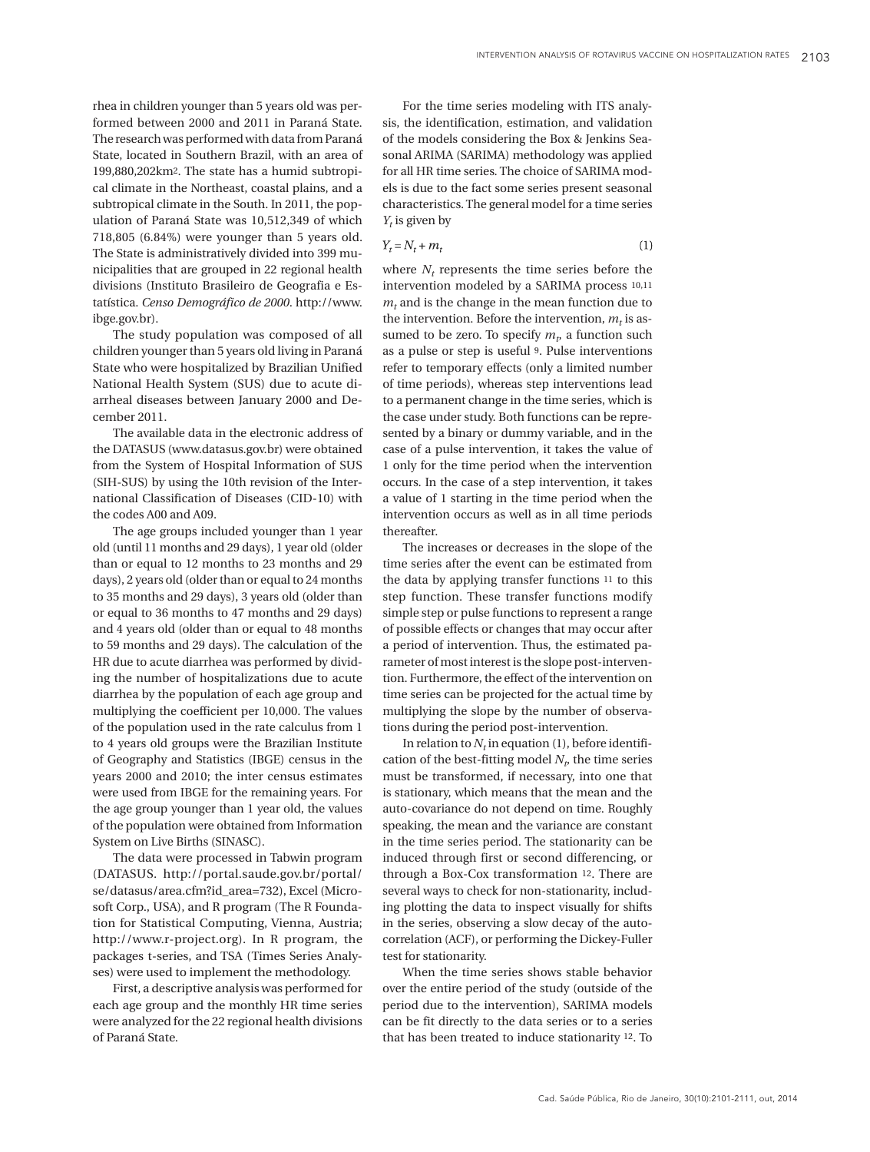rhea in children younger than 5 years old was performed between 2000 and 2011 in Paraná State. The research was performed with data from Paraná State, located in Southern Brazil, with an area of 199,880,202km2. The state has a humid subtropical climate in the Northeast, coastal plains, and a subtropical climate in the South. In 2011, the population of Paraná State was 10,512,349 of which 718,805 (6.84%) were younger than 5 years old. The State is administratively divided into 399 municipalities that are grouped in 22 regional health divisions (Instituto Brasileiro de Geografia e Estatística. *Censo Demográfico de 2000*. http://www. ibge.gov.br).

The study population was composed of all children younger than 5 years old living in Paraná State who were hospitalized by Brazilian Unified National Health System (SUS) due to acute diarrheal diseases between January 2000 and December 2011.

The available data in the electronic address of the DATASUS (www.datasus.gov.br) were obtained from the System of Hospital Information of SUS (SIH-SUS) by using the 10th revision of the International Classification of Diseases (CID-10) with the codes A00 and A09.

The age groups included younger than 1 year old (until 11 months and 29 days), 1 year old (older than or equal to 12 months to 23 months and 29 days), 2 years old (older than or equal to 24 months to 35 months and 29 days), 3 years old (older than or equal to 36 months to 47 months and 29 days) and 4 years old (older than or equal to 48 months to 59 months and 29 days). The calculation of the HR due to acute diarrhea was performed by dividing the number of hospitalizations due to acute diarrhea by the population of each age group and multiplying the coefficient per 10,000. The values of the population used in the rate calculus from 1 to 4 years old groups were the Brazilian Institute of Geography and Statistics (IBGE) census in the years 2000 and 2010; the inter census estimates were used from IBGE for the remaining years. For the age group younger than 1 year old, the values of the population were obtained from Information System on Live Births (SINASC).

The data were processed in Tabwin program (DATASUS. http://portal.saude.gov.br/portal/ se/datasus/area.cfm?id\_area=732), Excel (Microsoft Corp., USA), and R program (The R Foundation for Statistical Computing, Vienna, Austria; http://www.r-project.org). In R program, the packages t-series, and TSA (Times Series Analyses) were used to implement the methodology.

First, a descriptive analysis was performed for each age group and the monthly HR time series were analyzed for the 22 regional health divisions of Paraná State.

For the time series modeling with ITS analysis, the identification, estimation, and validation of the models considering the Box & Jenkins Seasonal ARIMA (SARIMA) methodology was applied for all HR time series. The choice of SARIMA models is due to the fact some series present seasonal characteristics. The general model for a time series  $Y_t$  is given by

$$
Y_t = N_t + m_t \tag{1}
$$

where  $N_t$  represents the time series before the intervention modeled by a SARIMA process 10,11  $m_t$  and is the change in the mean function due to the intervention. Before the intervention,  $m_t$  is assumed to be zero. To specify  $m_t$ , a function such as a pulse or step is useful 9. Pulse interventions refer to temporary effects (only a limited number of time periods), whereas step interventions lead to a permanent change in the time series, which is the case under study. Both functions can be represented by a binary or dummy variable, and in the case of a pulse intervention, it takes the value of 1 only for the time period when the intervention occurs. In the case of a step intervention, it takes a value of 1 starting in the time period when the intervention occurs as well as in all time periods thereafter.

The increases or decreases in the slope of the time series after the event can be estimated from the data by applying transfer functions 11 to this step function. These transfer functions modify simple step or pulse functions to represent a range of possible effects or changes that may occur after a period of intervention. Thus, the estimated parameter of most interest is the slope post-intervention. Furthermore, the effect of the intervention on time series can be projected for the actual time by multiplying the slope by the number of observations during the period post-intervention.

In relation to  $N_t$  in equation (1), before identification of the best-fitting model  $N_t$ , the time series must be transformed, if necessary, into one that is stationary, which means that the mean and the auto-covariance do not depend on time. Roughly speaking, the mean and the variance are constant in the time series period. The stationarity can be induced through first or second differencing, or through a Box-Cox transformation 12. There are several ways to check for non-stationarity, including plotting the data to inspect visually for shifts in the series, observing a slow decay of the autocorrelation (ACF), or performing the Dickey-Fuller test for stationarity.

When the time series shows stable behavior over the entire period of the study (outside of the period due to the intervention), SARIMA models can be fit directly to the data series or to a series that has been treated to induce stationarity 12. To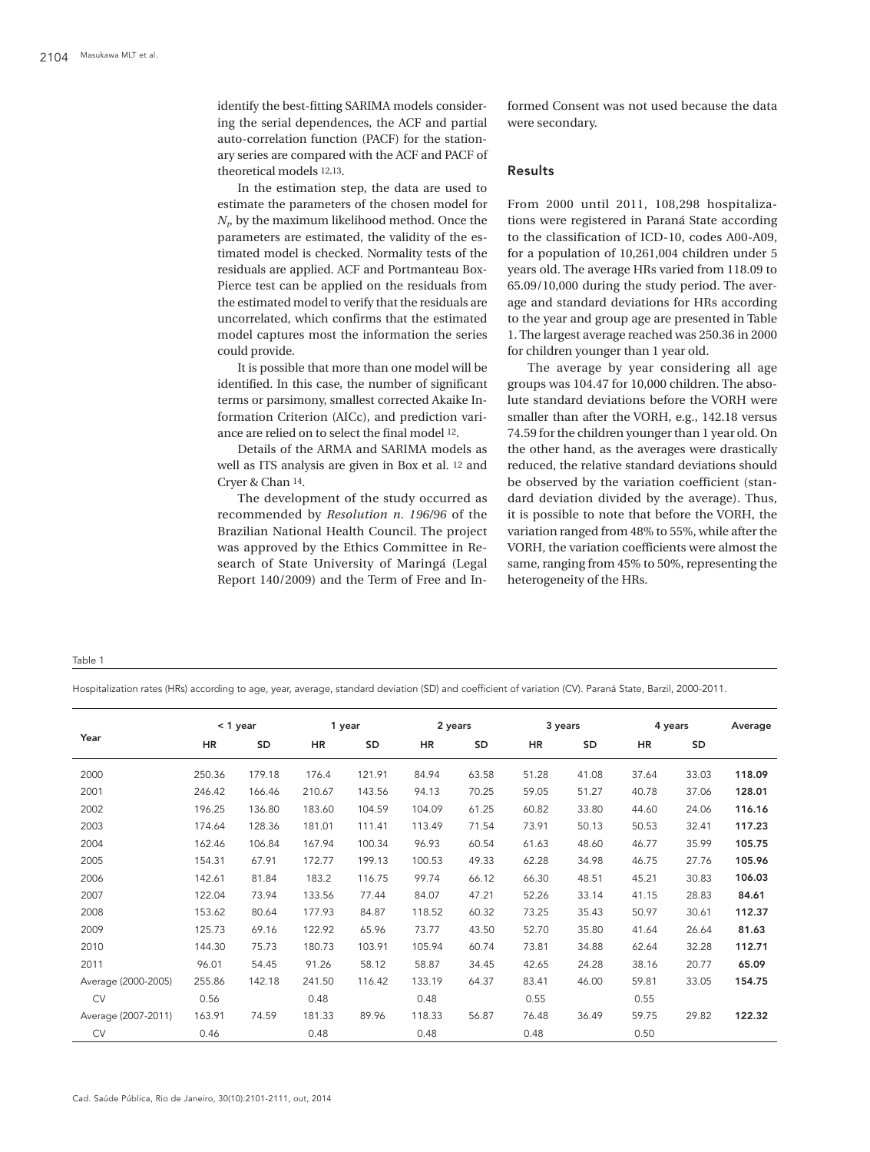identify the best-fitting SARIMA models considering the serial dependences, the ACF and partial auto-correlation function (PACF) for the stationary series are compared with the ACF and PACF of theoretical models 12,13.

In the estimation step, the data are used to estimate the parameters of the chosen model for  $N_p$  by the maximum likelihood method. Once the parameters are estimated, the validity of the estimated model is checked. Normality tests of the residuals are applied. ACF and Portmanteau Box-Pierce test can be applied on the residuals from the estimated model to verify that the residuals are uncorrelated, which confirms that the estimated model captures most the information the series could provide.

It is possible that more than one model will be identified. In this case, the number of significant terms or parsimony, smallest corrected Akaike Information Criterion (AICc), and prediction variance are relied on to select the final model 12.

Details of the ARMA and SARIMA models as well as ITS analysis are given in Box et al. 12 and Cryer & Chan 14.

The development of the study occurred as recommended by *Resolution n. 196/96* of the Brazilian National Health Council. The project was approved by the Ethics Committee in Research of State University of Maringá (Legal Report 140/2009) and the Term of Free and Informed Consent was not used because the data were secondary.

## Results

From 2000 until 2011, 108,298 hospitalizations were registered in Paraná State according to the classification of ICD-10, codes A00-A09, for a population of 10,261,004 children under 5 years old. The average HRs varied from 118.09 to 65.09/10,000 during the study period. The average and standard deviations for HRs according to the year and group age are presented in Table 1. The largest average reached was 250.36 in 2000 for children younger than 1 year old.

The average by year considering all age groups was 104.47 for 10,000 children. The absolute standard deviations before the VORH were smaller than after the VORH, e.g., 142.18 versus 74.59 for the children younger than 1 year old. On the other hand, as the averages were drastically reduced, the relative standard deviations should be observed by the variation coefficient (standard deviation divided by the average). Thus, it is possible to note that before the VORH, the variation ranged from 48% to 55%, while after the VORH, the variation coefficients were almost the same, ranging from 45% to 50%, representing the heterogeneity of the HRs.

Table 1

Hospitalization rates (HRs) according to age, year, average, standard deviation (SD) and coefficient of variation (CV). Paraná State, Barzil, 2000-2011.

|                     | $<$ 1 year |        | 1 year    |        | 2 years   |           | 3 years |           | 4 years   |       | Average |
|---------------------|------------|--------|-----------|--------|-----------|-----------|---------|-----------|-----------|-------|---------|
| Year                | <b>HR</b>  | SD     | <b>HR</b> | SD     | <b>HR</b> | <b>SD</b> | HR      | <b>SD</b> | <b>HR</b> | SD    |         |
| 2000                | 250.36     | 179.18 | 176.4     | 121.91 | 84.94     | 63.58     | 51.28   | 41.08     | 37.64     | 33.03 | 118.09  |
| 2001                | 246.42     | 166.46 | 210.67    | 143.56 | 94.13     | 70.25     | 59.05   | 51.27     | 40.78     | 37.06 | 128.01  |
| 2002                | 196.25     | 136.80 | 183.60    | 104.59 | 104.09    | 61.25     | 60.82   | 33.80     | 44.60     | 24.06 | 116.16  |
| 2003                | 174.64     | 128.36 | 181.01    | 111.41 | 113.49    | 71.54     | 73.91   | 50.13     | 50.53     | 32.41 | 117.23  |
| 2004                | 162.46     | 106.84 | 167.94    | 100.34 | 96.93     | 60.54     | 61.63   | 48.60     | 46.77     | 35.99 | 105.75  |
| 2005                | 154.31     | 67.91  | 172.77    | 199.13 | 100.53    | 49.33     | 62.28   | 34.98     | 46.75     | 27.76 | 105.96  |
| 2006                | 142.61     | 81.84  | 183.2     | 116.75 | 99.74     | 66.12     | 66.30   | 48.51     | 45.21     | 30.83 | 106.03  |
| 2007                | 122.04     | 73.94  | 133.56    | 77.44  | 84.07     | 47.21     | 52.26   | 33.14     | 41.15     | 28.83 | 84.61   |
| 2008                | 153.62     | 80.64  | 177.93    | 84.87  | 118.52    | 60.32     | 73.25   | 35.43     | 50.97     | 30.61 | 112.37  |
| 2009                | 125.73     | 69.16  | 122.92    | 65.96  | 73.77     | 43.50     | 52.70   | 35.80     | 41.64     | 26.64 | 81.63   |
| 2010                | 144.30     | 75.73  | 180.73    | 103.91 | 105.94    | 60.74     | 73.81   | 34.88     | 62.64     | 32.28 | 112.71  |
| 2011                | 96.01      | 54.45  | 91.26     | 58.12  | 58.87     | 34.45     | 42.65   | 24.28     | 38.16     | 20.77 | 65.09   |
| Average (2000-2005) | 255.86     | 142.18 | 241.50    | 116.42 | 133.19    | 64.37     | 83.41   | 46.00     | 59.81     | 33.05 | 154.75  |
| <b>CV</b>           | 0.56       |        | 0.48      |        | 0.48      |           | 0.55    |           | 0.55      |       |         |
| Average (2007-2011) | 163.91     | 74.59  | 181.33    | 89.96  | 118.33    | 56.87     | 76.48   | 36.49     | 59.75     | 29.82 | 122.32  |
| <b>CV</b>           | 0.46       |        | 0.48      |        | 0.48      |           | 0.48    |           | 0.50      |       |         |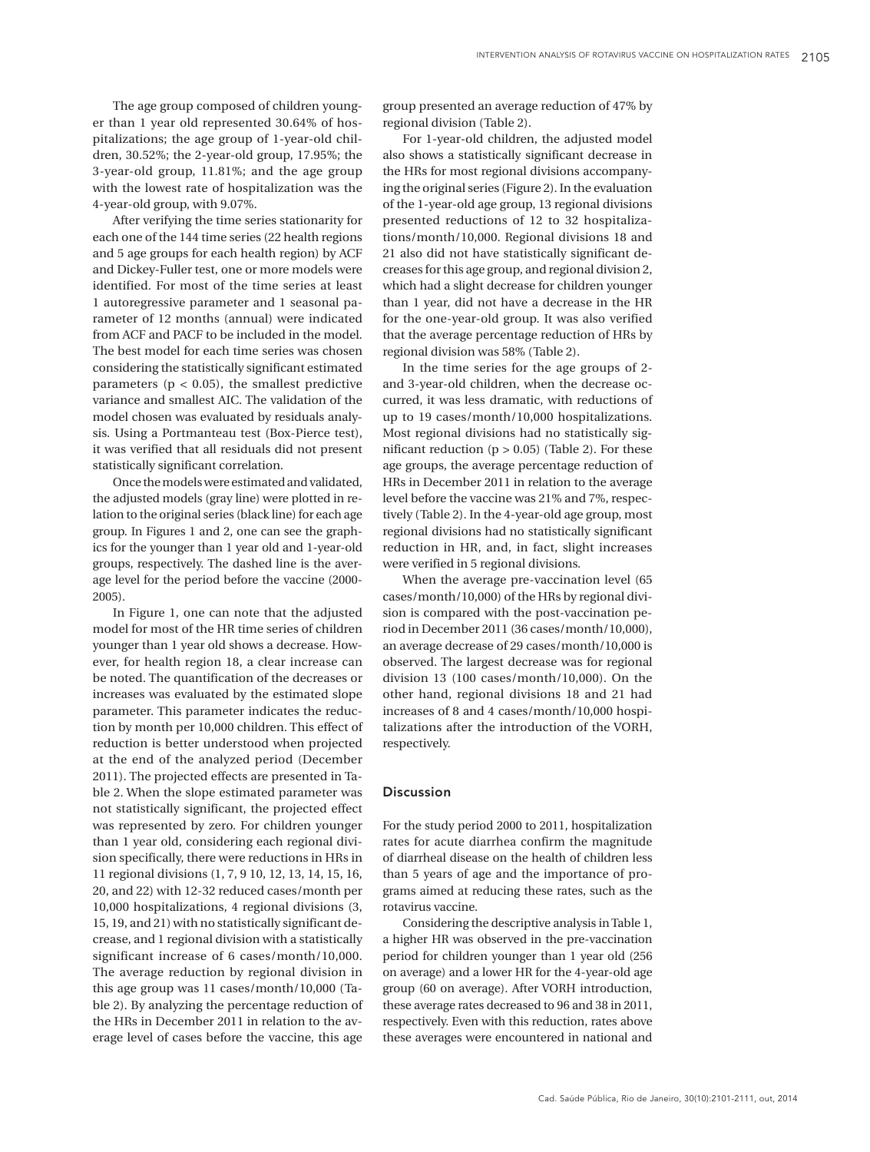The age group composed of children younger than 1 year old represented 30.64% of hospitalizations; the age group of 1-year-old children, 30.52%; the 2-year-old group, 17.95%; the 3-year-old group, 11.81%; and the age group with the lowest rate of hospitalization was the 4-year-old group, with 9.07%.

After verifying the time series stationarity for each one of the 144 time series (22 health regions and 5 age groups for each health region) by ACF and Dickey-Fuller test, one or more models were identified. For most of the time series at least 1 autoregressive parameter and 1 seasonal parameter of 12 months (annual) were indicated from ACF and PACF to be included in the model. The best model for each time series was chosen considering the statistically significant estimated parameters ( $p < 0.05$ ), the smallest predictive variance and smallest AIC. The validation of the model chosen was evaluated by residuals analysis. Using a Portmanteau test (Box-Pierce test), it was verified that all residuals did not present statistically significant correlation.

Once the models were estimated and validated, the adjusted models (gray line) were plotted in relation to the original series (black line) for each age group. In Figures 1 and 2, one can see the graphics for the younger than 1 year old and 1-year-old groups, respectively. The dashed line is the average level for the period before the vaccine (2000- 2005).

In Figure 1, one can note that the adjusted model for most of the HR time series of children younger than 1 year old shows a decrease. However, for health region 18, a clear increase can be noted. The quantification of the decreases or increases was evaluated by the estimated slope parameter. This parameter indicates the reduction by month per 10,000 children. This effect of reduction is better understood when projected at the end of the analyzed period (December 2011). The projected effects are presented in Table 2. When the slope estimated parameter was not statistically significant, the projected effect was represented by zero. For children younger than 1 year old, considering each regional division specifically, there were reductions in HRs in 11 regional divisions (1, 7, 9 10, 12, 13, 14, 15, 16, 20, and 22) with 12-32 reduced cases/month per 10,000 hospitalizations, 4 regional divisions (3, 15, 19, and 21) with no statistically significant decrease, and 1 regional division with a statistically significant increase of 6 cases/month/10,000. The average reduction by regional division in this age group was 11 cases/month/10,000 (Table 2). By analyzing the percentage reduction of the HRs in December 2011 in relation to the average level of cases before the vaccine, this age

group presented an average reduction of 47% by regional division (Table 2).

For 1-year-old children, the adjusted model also shows a statistically significant decrease in the HRs for most regional divisions accompanying the original series (Figure 2). In the evaluation of the 1-year-old age group, 13 regional divisions presented reductions of 12 to 32 hospitalizations/month/10,000. Regional divisions 18 and 21 also did not have statistically significant decreases for this age group, and regional division 2, which had a slight decrease for children younger than 1 year, did not have a decrease in the HR for the one-year-old group. It was also verified that the average percentage reduction of HRs by regional division was 58% (Table 2).

In the time series for the age groups of 2 and 3-year-old children, when the decrease occurred, it was less dramatic, with reductions of up to 19 cases/month/10,000 hospitalizations. Most regional divisions had no statistically significant reduction  $(p > 0.05)$  (Table 2). For these age groups, the average percentage reduction of HRs in December 2011 in relation to the average level before the vaccine was 21% and 7%, respectively (Table 2). In the 4-year-old age group, most regional divisions had no statistically significant reduction in HR, and, in fact, slight increases were verified in 5 regional divisions.

When the average pre-vaccination level (65 cases/month/10,000) of the HRs by regional division is compared with the post-vaccination period in December 2011 (36 cases/month/10,000), an average decrease of 29 cases/month/10,000 is observed. The largest decrease was for regional division 13 (100 cases/month/10,000). On the other hand, regional divisions 18 and 21 had increases of 8 and 4 cases/month/10,000 hospitalizations after the introduction of the VORH, respectively.

#### Discussion

For the study period 2000 to 2011, hospitalization rates for acute diarrhea confirm the magnitude of diarrheal disease on the health of children less than 5 years of age and the importance of programs aimed at reducing these rates, such as the rotavirus vaccine.

Considering the descriptive analysis in Table 1, a higher HR was observed in the pre-vaccination period for children younger than 1 year old (256 on average) and a lower HR for the 4-year-old age group (60 on average). After VORH introduction, these average rates decreased to 96 and 38 in 2011, respectively. Even with this reduction, rates above these averages were encountered in national and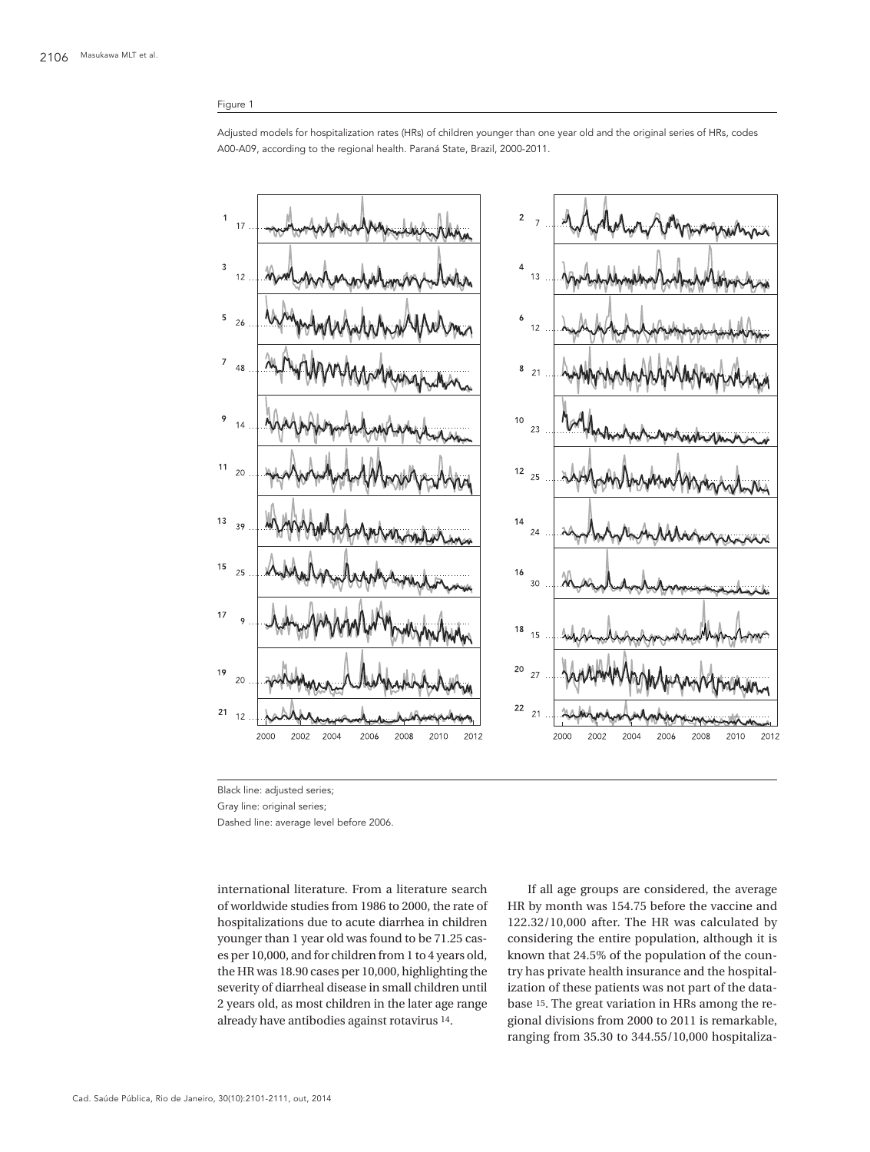## Figure 1



Adjusted models for hospitalization rates (HRs) of children younger than one year old and the original series of HRs, codes A00-A09, according to the regional health. Paraná State, Brazil, 2000-2011.

Black line: adjusted series;

Dashed line: average level before 2006.

international literature. From a literature search of worldwide studies from 1986 to 2000, the rate of hospitalizations due to acute diarrhea in children younger than 1 year old was found to be 71.25 cases per 10,000, and for children from 1 to 4 years old, the HR was 18.90 cases per 10,000, highlighting the severity of diarrheal disease in small children until 2 years old, as most children in the later age range already have antibodies against rotavirus 14.

If all age groups are considered, the average HR by month was 154.75 before the vaccine and 122.32/10,000 after. The HR was calculated by considering the entire population, although it is known that 24.5% of the population of the country has private health insurance and the hospitalization of these patients was not part of the database 15. The great variation in HRs among the regional divisions from 2000 to 2011 is remarkable, ranging from 35.30 to 344.55/10,000 hospitaliza-

Gray line: original series;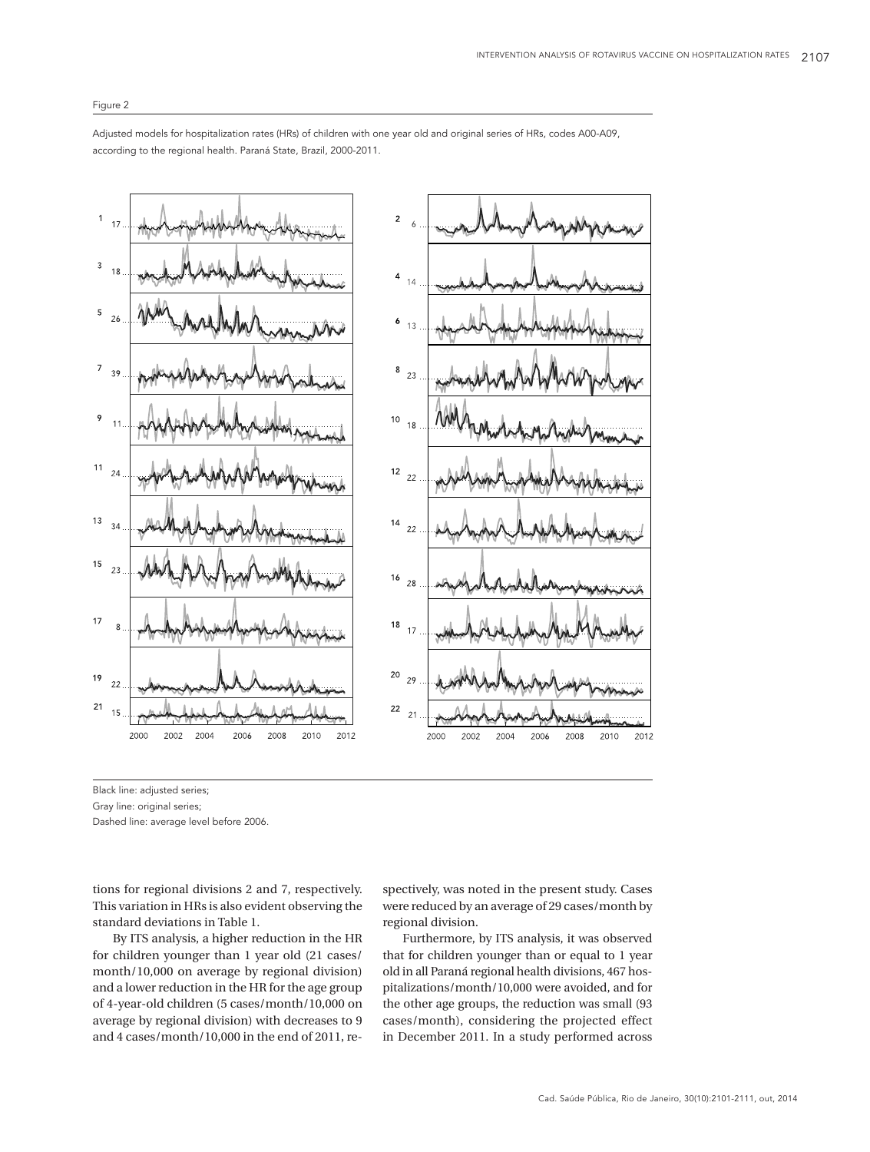Adjusted models for hospitalization rates (HRs) of children with one year old and original series of HRs, codes A00-A09, according to the regional health. Paraná State, Brazil, 2000-2011.



Black line: adjusted series;

Gray line: original series;

Dashed line: average level before 2006.

tions for regional divisions 2 and 7, respectively. This variation in HRs is also evident observing the standard deviations in Table 1.

By ITS analysis, a higher reduction in the HR for children younger than 1 year old (21 cases/ month/10,000 on average by regional division) and a lower reduction in the HR for the age group of 4-year-old children (5 cases/month/10,000 on average by regional division) with decreases to 9 and 4 cases/month/10,000 in the end of 2011, respectively, was noted in the present study. Cases were reduced by an average of 29 cases/month by regional division.

Furthermore, by ITS analysis, it was observed that for children younger than or equal to 1 year old in all Paraná regional health divisions, 467 hospitalizations/month/10,000 were avoided, and for the other age groups, the reduction was small (93 cases/month), considering the projected effect in December 2011. In a study performed across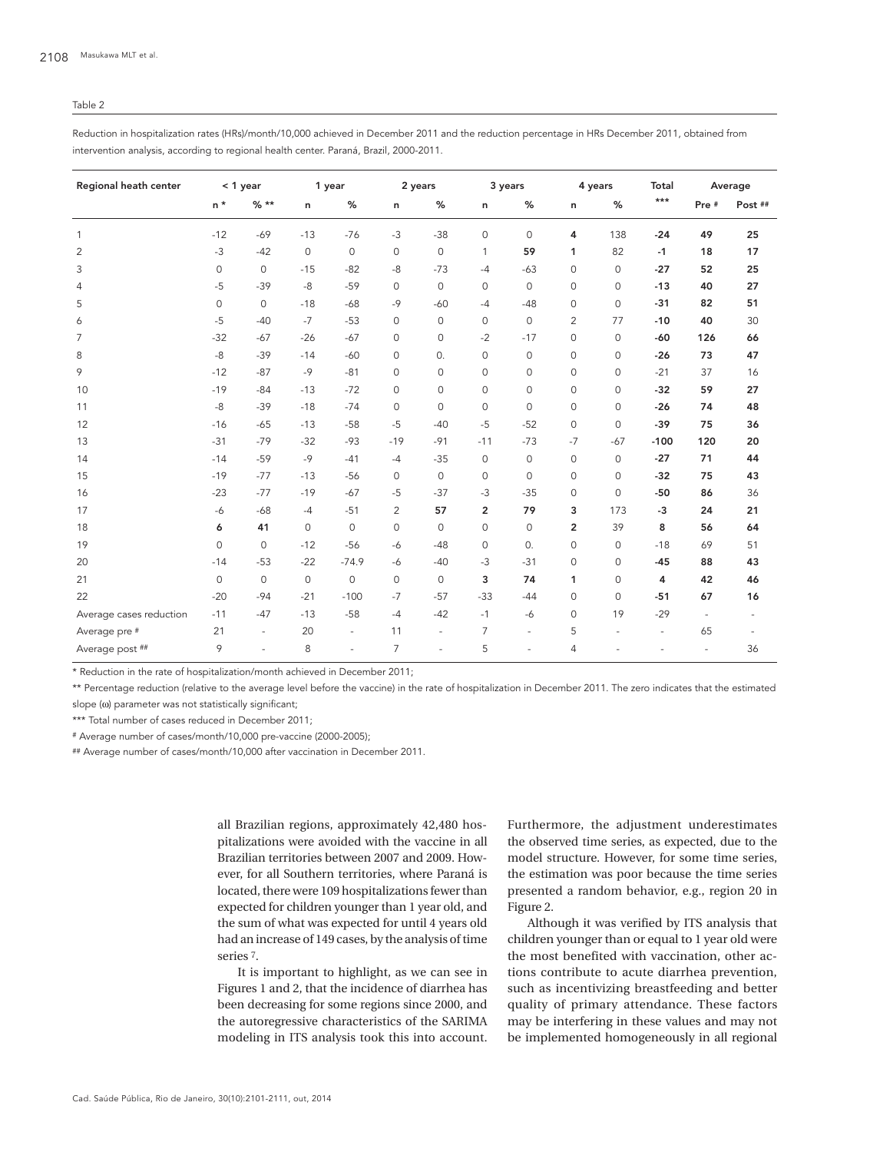#### Table 2

Reduction in hospitalization rates (HRs)/month/10,000 achieved in December 2011 and the reduction percentage in HRs December 2011, obtained from intervention analysis, according to regional health center. Paraná, Brazil, 2000-2011.

| Regional heath center   | < 1 year |                          | 1 year              |                          | 2 years             |                          | 3 years             |                          | 4 years        |                     | Total                    | Average |                          |
|-------------------------|----------|--------------------------|---------------------|--------------------------|---------------------|--------------------------|---------------------|--------------------------|----------------|---------------------|--------------------------|---------|--------------------------|
|                         | $n *$    | $% **$                   | n                   | $\%$                     | n                   | $\%$                     | n                   | $\%$                     | n              | $\%$                | $***$                    | Pre#    | Post ##                  |
| $\mathbf{1}$            | $-12$    | $-69$                    | $-13$               | $-76$                    | $-3$                | $-38$                    | $\circ$             | $\mathsf O$              | $\overline{4}$ | 138                 | $-24$                    | 49      | 25                       |
| $\overline{2}$          | $-3$     | $-42$                    | $\circ$             | $\mathbf 0$              | $\mathsf{O}\xspace$ | $\mathbf 0$              | $\mathbf{1}$        | 59                       | 1              | 82                  | $-1$                     | 18      | 17                       |
| 3                       | $\circ$  | 0                        | $-15$               | $-82$                    | $-8$                | $-73$                    | $-4$                | $-63$                    | $\mathbf{O}$   | $\circ$             | $-27$                    | 52      | 25                       |
| 4                       | $-5$     | $-39$                    | $-8$                | $-59$                    | $\mathsf{O}\xspace$ | $\circ$                  | 0                   | $\mathsf{O}\xspace$      | 0              | $\mathbf 0$         | $-13$                    | 40      | 27                       |
| 5                       | $\circ$  | 0                        | $-18$               | $-68$                    | $-9$                | $-60$                    | $-4$                | $-48$                    | $\mathbf 0$    | $\circ$             | $-31$                    | 82      | 51                       |
| 6                       | $-5$     | $-40$                    | $-7$                | $-53$                    | $\mathsf{O}\xspace$ | $\circ$                  | $\mathbf 0$         | $\mathsf{O}\xspace$      | $\overline{2}$ | 77                  | $-10$                    | 40      | 30                       |
| 7                       | $-32$    | $-67$                    | $-26$               | $-67$                    | 0                   | $\circ$                  | $-2$                | $-17$                    | $\circ$        | $\mathbf 0$         | $-60$                    | 126     | 66                       |
| 8                       | $-8$     | $-39$                    | $-14$               | $-60$                    | 0                   | 0.                       | 0                   | 0                        | $\mathbf 0$    | $\circ$             | $-26$                    | 73      | 47                       |
| 9                       | $-12$    | $-87$                    | $-9$                | $-81$                    | $\mathsf{O}\xspace$ | $\mathbf{0}$             | $\mathbf{O}$        | 0                        | $\mathbf 0$    | $\circ$             | $-21$                    | 37      | 16                       |
| 10                      | $-19$    | $-84$                    | $-13$               | $-72$                    | $\mathsf{O}\xspace$ | $\mathsf{O}\xspace$      | $\mathsf{O}\xspace$ | $\mathsf{O}\xspace$      | $\mathbf 0$    | $\mathsf{O}\xspace$ | $-32$                    | 59      | 27                       |
| 11                      | $-8$     | $-39$                    | $-18$               | $-74$                    | $\mathsf{O}\xspace$ | $\mathbf{0}$             | 0                   | 0                        | $\mathbf 0$    | $\mathbf 0$         | $-26$                    | 74      | 48                       |
| 12                      | $-16$    | $-65$                    | $-13$               | $-58$                    | $-5$                | $-40$                    | $-5$                | $-52$                    | $\circ$        | $\mathsf{O}\xspace$ | $-39$                    | 75      | 36                       |
| 13                      | $-31$    | $-79$                    | $-32$               | $-93$                    | $-19$               | $-91$                    | $-11$               | $-73$                    | $-7$           | $-67$               | $-100$                   | 120     | 20                       |
| 14                      | $-14$    | $-59$                    | $-9$                | $-41$                    | $-4$                | $-35$                    | $\mathbf{0}$        | $\circ$                  | $\mathbf 0$    | $\mathbf{0}$        | $-27$                    | 71      | 44                       |
| 15                      | $-19$    | $-77$                    | $-13$               | $-56$                    | 0                   | $\circ$                  | 0                   | $\circ$                  | $\mathbf 0$    | $\circ$             | $-32$                    | 75      | 43                       |
| 16                      | $-23$    | $-77$                    | $-19$               | $-67$                    | $-5$                | $-37$                    | $-3$                | $-35$                    | $\mathbf 0$    | $\circ$             | $-50$                    | 86      | 36                       |
| 17                      | $-6$     | $-68$                    | $-4$                | $-51$                    | $\overline{2}$      | 57                       | $\overline{2}$      | 79                       | 3              | 173                 | $-3$                     | 24      | 21                       |
| 18                      | 6        | 41                       | $\mathsf{O}\xspace$ | $\mathbf 0$              | $\mathsf{O}\xspace$ | $\circ$                  | $\mathsf{O}\xspace$ | $\mathsf{O}\xspace$      | $\overline{2}$ | 39                  | 8                        | 56      | 64                       |
| 19                      | $\circ$  | $\mathsf{O}\xspace$      | $-12$               | $-56$                    | $-6$                | $-48$                    | $\mathsf{O}\xspace$ | 0.                       | $\circ$        | 0                   | $-18$                    | 69      | 51                       |
| 20                      | $-14$    | $-53$                    | $-22$               | $-74.9$                  | $-6$                | $-40$                    | $-3$                | $-31$                    | $\circ$        | $\circ$             | $-45$                    | 88      | 43                       |
| 21                      | $\circ$  | $\mathbf 0$              | $\circ$             | $\mathbf 0$              | $\mathsf{O}\xspace$ | $\mathbf{0}$             | 3                   | 74                       | 1              | $\circ$             | 4                        | 42      | 46                       |
| 22                      | $-20$    | $-94$                    | $-21$               | $-100$                   | $-7$                | $-57$                    | $-33$               | $-44$                    | $\mathbf 0$    | $\mathbf{0}$        | $-51$                    | 67      | 16                       |
| Average cases reduction | $-11$    | $-47$                    | $-13$               | $-58$                    | $-4$                | $-42$                    | $-1$                | $-6$                     | 0              | 19                  | $-29$                    | $\sim$  | $\overline{\phantom{a}}$ |
| Average pre #           | 21       | $\overline{\phantom{a}}$ | 20                  | $\overline{\phantom{a}}$ | 11                  | $\overline{\phantom{a}}$ | $\overline{7}$      | $\overline{\phantom{a}}$ | 5              |                     | $\overline{\phantom{a}}$ | 65      | $\overline{\phantom{a}}$ |
| Average post ##         | 9        | $\overline{a}$           | 8                   | ÷,                       | 7                   |                          | 5                   | $\sim$                   | $\overline{4}$ |                     |                          | $\sim$  | 36                       |

\* Reduction in the rate of hospitalization/month achieved in December 2011;

\*\* Percentage reduction (relative to the average level before the vaccine) in the rate of hospitalization in December 2011. The zero indicates that the estimated slope (ω) parameter was not statistically significant;

\*\*\* Total number of cases reduced in December 2011;

# Average number of cases/month/10,000 pre-vaccine (2000-2005);

## Average number of cases/month/10,000 after vaccination in December 2011.

all Brazilian regions, approximately 42,480 hospitalizations were avoided with the vaccine in all Brazilian territories between 2007 and 2009. However, for all Southern territories, where Paraná is located, there were 109 hospitalizations fewer than expected for children younger than 1 year old, and the sum of what was expected for until 4 years old had an increase of 149 cases, by the analysis of time series 7.

It is important to highlight, as we can see in Figures 1 and 2, that the incidence of diarrhea has been decreasing for some regions since 2000, and the autoregressive characteristics of the SARIMA modeling in ITS analysis took this into account.

Furthermore, the adjustment underestimates the observed time series, as expected, due to the model structure. However, for some time series, the estimation was poor because the time series presented a random behavior, e.g., region 20 in Figure 2.

Although it was verified by ITS analysis that children younger than or equal to 1 year old were the most benefited with vaccination, other actions contribute to acute diarrhea prevention, such as incentivizing breastfeeding and better quality of primary attendance. These factors may be interfering in these values and may not be implemented homogeneously in all regional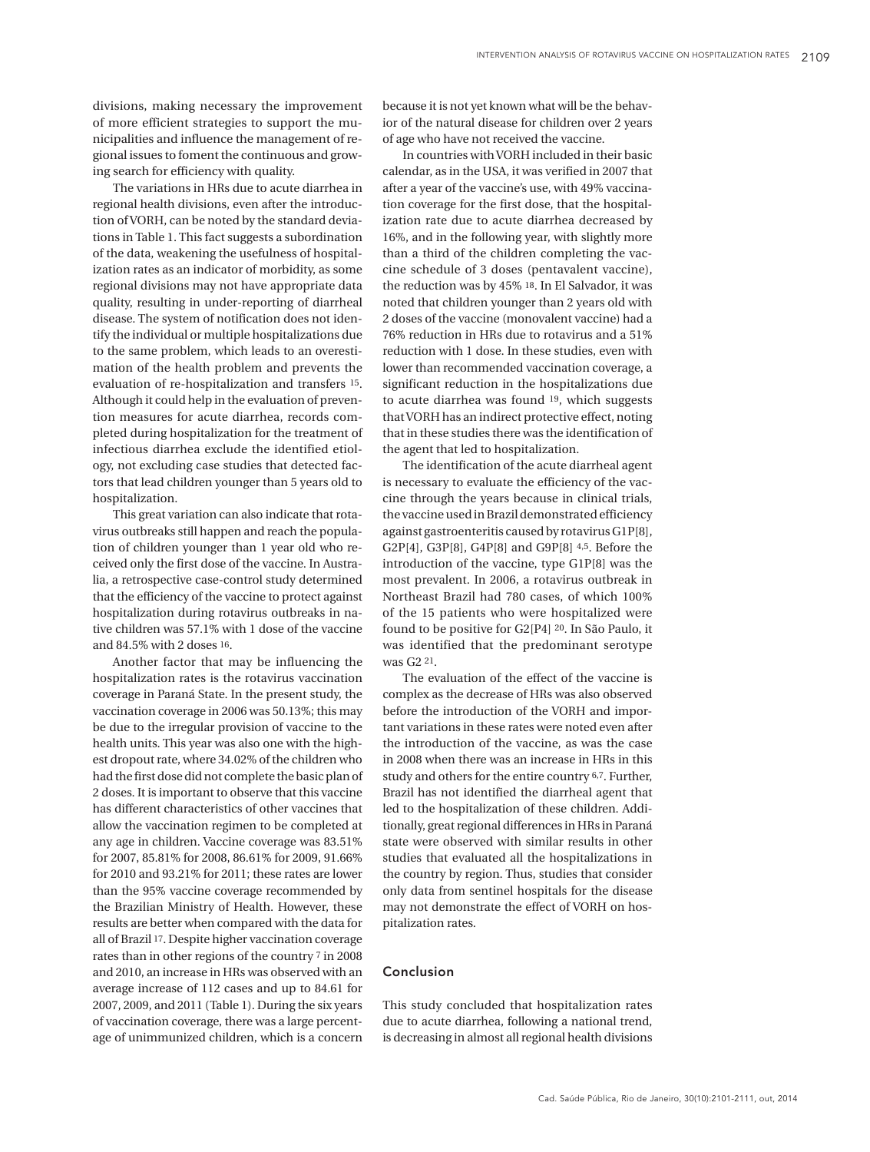divisions, making necessary the improvement of more efficient strategies to support the municipalities and influence the management of regional issues to foment the continuous and growing search for efficiency with quality.

The variations in HRs due to acute diarrhea in regional health divisions, even after the introduction of VORH, can be noted by the standard deviations in Table 1. This fact suggests a subordination of the data, weakening the usefulness of hospitalization rates as an indicator of morbidity, as some regional divisions may not have appropriate data quality, resulting in under-reporting of diarrheal disease. The system of notification does not identify the individual or multiple hospitalizations due to the same problem, which leads to an overestimation of the health problem and prevents the evaluation of re-hospitalization and transfers 15. Although it could help in the evaluation of prevention measures for acute diarrhea, records completed during hospitalization for the treatment of infectious diarrhea exclude the identified etiology, not excluding case studies that detected factors that lead children younger than 5 years old to hospitalization.

This great variation can also indicate that rotavirus outbreaks still happen and reach the population of children younger than 1 year old who received only the first dose of the vaccine. In Australia, a retrospective case-control study determined that the efficiency of the vaccine to protect against hospitalization during rotavirus outbreaks in native children was 57.1% with 1 dose of the vaccine and 84.5% with 2 doses 16.

Another factor that may be influencing the hospitalization rates is the rotavirus vaccination coverage in Paraná State. In the present study, the vaccination coverage in 2006 was 50.13%; this may be due to the irregular provision of vaccine to the health units. This year was also one with the highest dropout rate, where 34.02% of the children who had the first dose did not complete the basic plan of 2 doses. It is important to observe that this vaccine has different characteristics of other vaccines that allow the vaccination regimen to be completed at any age in children. Vaccine coverage was 83.51% for 2007, 85.81% for 2008, 86.61% for 2009, 91.66% for 2010 and 93.21% for 2011; these rates are lower than the 95% vaccine coverage recommended by the Brazilian Ministry of Health. However, these results are better when compared with the data for all of Brazil 17. Despite higher vaccination coverage rates than in other regions of the country 7 in 2008 and 2010, an increase in HRs was observed with an average increase of 112 cases and up to 84.61 for 2007, 2009, and 2011 (Table 1). During the six years of vaccination coverage, there was a large percentage of unimmunized children, which is a concern

because it is not yet known what will be the behavior of the natural disease for children over 2 years of age who have not received the vaccine.

In countries with VORH included in their basic calendar, as in the USA, it was verified in 2007 that after a year of the vaccine's use, with 49% vaccination coverage for the first dose, that the hospitalization rate due to acute diarrhea decreased by 16%, and in the following year, with slightly more than a third of the children completing the vaccine schedule of 3 doses (pentavalent vaccine), the reduction was by 45% 18. In El Salvador, it was noted that children younger than 2 years old with 2 doses of the vaccine (monovalent vaccine) had a 76% reduction in HRs due to rotavirus and a 51% reduction with 1 dose. In these studies, even with lower than recommended vaccination coverage, a significant reduction in the hospitalizations due to acute diarrhea was found 19, which suggests that VORH has an indirect protective effect, noting that in these studies there was the identification of the agent that led to hospitalization.

The identification of the acute diarrheal agent is necessary to evaluate the efficiency of the vaccine through the years because in clinical trials, the vaccine used in Brazil demonstrated efficiency against gastroenteritis caused by rotavirus G1P[8], G2P[4], G3P[8], G4P[8] and G9P[8] 4,5. Before the introduction of the vaccine, type G1P[8] was the most prevalent. In 2006, a rotavirus outbreak in Northeast Brazil had 780 cases, of which 100% of the 15 patients who were hospitalized were found to be positive for G2[P4] 20. In São Paulo, it was identified that the predominant serotype was G2 21.

The evaluation of the effect of the vaccine is complex as the decrease of HRs was also observed before the introduction of the VORH and important variations in these rates were noted even after the introduction of the vaccine, as was the case in 2008 when there was an increase in HRs in this study and others for the entire country 6,7. Further, Brazil has not identified the diarrheal agent that led to the hospitalization of these children. Additionally, great regional differences in HRs in Paraná state were observed with similar results in other studies that evaluated all the hospitalizations in the country by region. Thus, studies that consider only data from sentinel hospitals for the disease may not demonstrate the effect of VORH on hospitalization rates.

## Conclusion

This study concluded that hospitalization rates due to acute diarrhea, following a national trend, is decreasing in almost all regional health divisions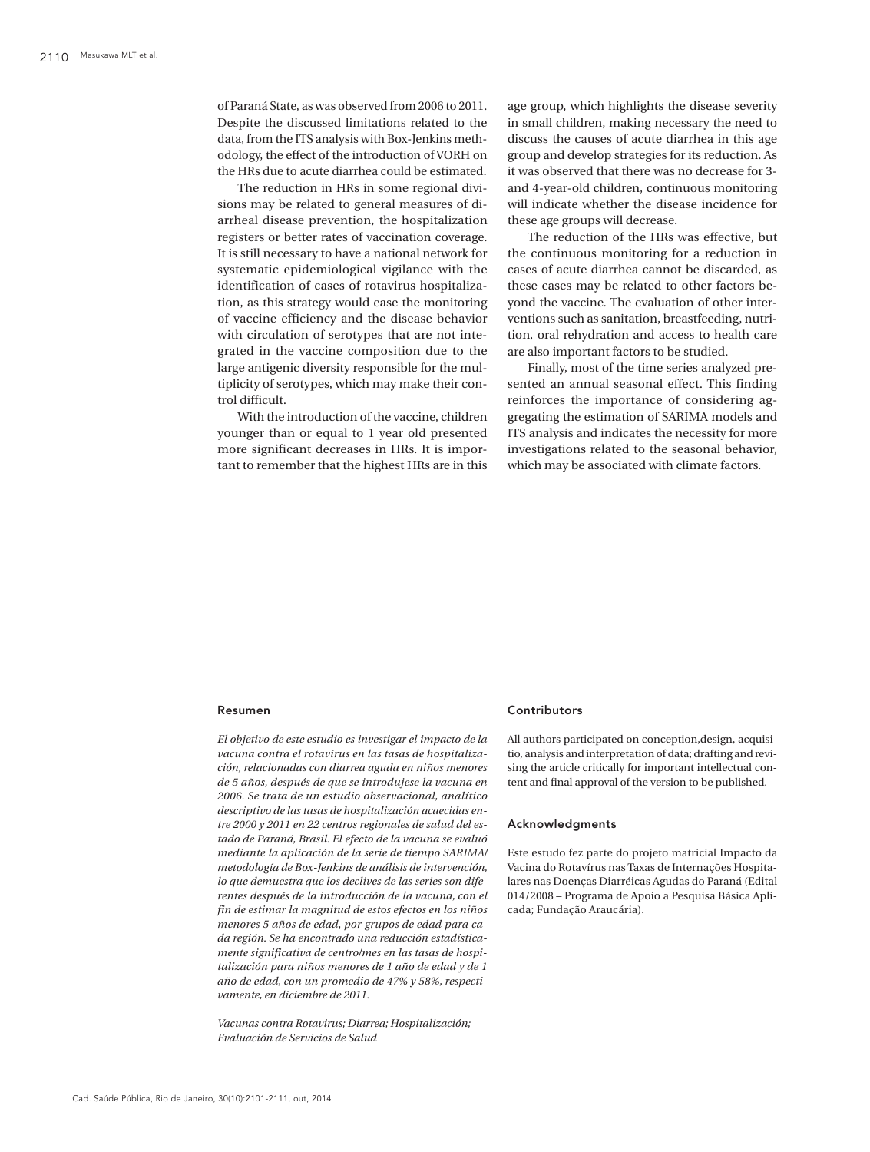of Paraná State, as was observed from 2006 to 2011. Despite the discussed limitations related to the data, from the ITS analysis with Box-Jenkins methodology, the effect of the introduction of VORH on the HRs due to acute diarrhea could be estimated.

The reduction in HRs in some regional divisions may be related to general measures of diarrheal disease prevention, the hospitalization registers or better rates of vaccination coverage. It is still necessary to have a national network for systematic epidemiological vigilance with the identification of cases of rotavirus hospitalization, as this strategy would ease the monitoring of vaccine efficiency and the disease behavior with circulation of serotypes that are not integrated in the vaccine composition due to the large antigenic diversity responsible for the multiplicity of serotypes, which may make their control difficult.

With the introduction of the vaccine, children younger than or equal to 1 year old presented more significant decreases in HRs. It is important to remember that the highest HRs are in this

age group, which highlights the disease severity in small children, making necessary the need to discuss the causes of acute diarrhea in this age group and develop strategies for its reduction. As it was observed that there was no decrease for 3 and 4-year-old children, continuous monitoring will indicate whether the disease incidence for these age groups will decrease.

The reduction of the HRs was effective, but the continuous monitoring for a reduction in cases of acute diarrhea cannot be discarded, as these cases may be related to other factors beyond the vaccine. The evaluation of other interventions such as sanitation, breastfeeding, nutrition, oral rehydration and access to health care are also important factors to be studied.

Finally, most of the time series analyzed presented an annual seasonal effect. This finding reinforces the importance of considering aggregating the estimation of SARIMA models and ITS analysis and indicates the necessity for more investigations related to the seasonal behavior, which may be associated with climate factors.

#### Resumen

*El objetivo de este estudio es investigar el impacto de la vacuna contra el rotavirus en las tasas de hospitalización, relacionadas con diarrea aguda en niños menores de 5 años, después de que se introdujese la vacuna en 2006. Se trata de un estudio observacional, analítico descriptivo de las tasas de hospitalización acaecidas entre 2000 y 2011 en 22 centros regionales de salud del estado de Paraná, Brasil. El efecto de la vacuna se evaluó mediante la aplicación de la serie de tiempo SARIMA/ metodología de Box-Jenkins de análisis de intervención, lo que demuestra que los declives de las series son diferentes después de la introducción de la vacuna, con el fin de estimar la magnitud de estos efectos en los niños menores 5 años de edad, por grupos de edad para cada región. Se ha encontrado una reducción estadísticamente significativa de centro/mes en las tasas de hospitalización para niños menores de 1 año de edad y de 1 año de edad, con un promedio de 47% y 58%, respectivamente, en diciembre de 2011.*

*Vacunas contra Rotavirus; Diarrea; Hospitalización; Evaluación de Servicios de Salud*

#### Contributors

All authors participated on conception,design, acquisitio, analysis and interpretation of data; drafting and revising the article critically for important intellectual content and final approval of the version to be published.

#### Acknowledgments

Este estudo fez parte do projeto matricial Impacto da Vacina do Rotavírus nas Taxas de Internações Hospitalares nas Doenças Diarréicas Agudas do Paraná (Edital 014/2008 – Programa de Apoio a Pesquisa Básica Aplicada; Fundação Araucária).